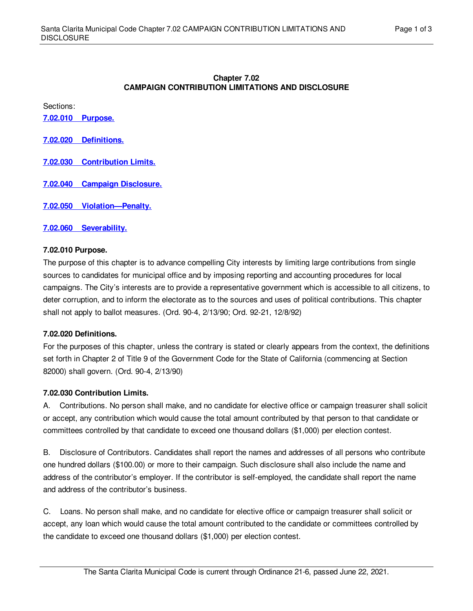### **Chapter 7.02 CAMPAIGN CONTRIBUTION LIMITATIONS AND DISCLOSURE**

Sections:

**7.02.010 [Purpose.](#page-0-0)**

**7.02.020 [Definitions.](#page-0-1)**

- **7.02.030 [Contribution](#page-0-2) Limits.**
- **7.02.040 Campaign [Disclosure.](#page-1-0)**

**7.02.050 [Violation—Penalty.](#page-2-0)**

**7.02.060 [Severability.](#page-2-1)**

### <span id="page-0-0"></span>**7.02.010 Purpose.**

The purpose of this chapter is to advance compelling City interests by limiting large contributions from single sources to candidates for municipal office and by imposing reporting and accounting procedures for local campaigns. The City's interests are to provide a representative government which is accessible to all citizens, to deter corruption, and to inform the electorate as to the sources and uses of political contributions. This chapter shall not apply to ballot measures. (Ord. 90-4, 2/13/90; Ord. 92-21, 12/8/92)

### <span id="page-0-1"></span>**7.02.020 Definitions.**

For the purposes of this chapter, unless the contrary is stated or clearly appears from the context, the definitions set forth in Chapter 2 of Title 9 of the Government Code for the State of California (commencing at Section 82000) shall govern. (Ord. 90-4, 2/13/90)

# <span id="page-0-2"></span>**7.02.030 Contribution Limits.**

A. Contributions. No person shall make, and no candidate for elective office or campaign treasurer shall solicit or accept, any contribution which would cause the total amount contributed by that person to that candidate or committees controlled by that candidate to exceed one thousand dollars (\$1,000) per election contest.

B. Disclosure of Contributors. Candidates shall report the names and addresses of all persons who contribute one hundred dollars (\$100.00) or more to their campaign. Such disclosure shall also include the name and address of the contributor's employer. If the contributor is self-employed, the candidate shall report the name and address of the contributor's business.

C. Loans. No person shall make, and no candidate for elective office or campaign treasurer shall solicit or accept, any loan which would cause the total amount contributed to the candidate or committees controlled by the candidate to exceed one thousand dollars (\$1,000) per election contest.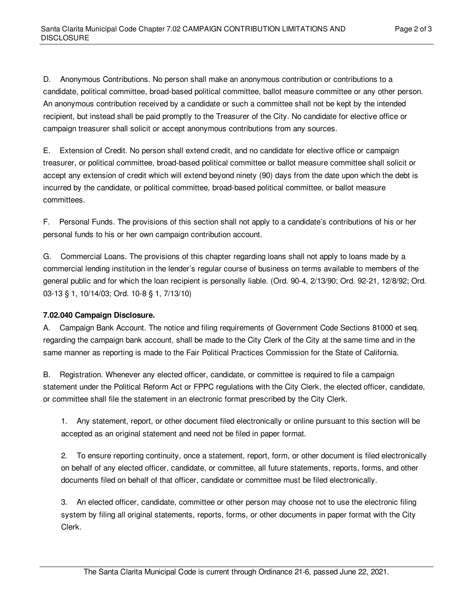D. Anonymous Contributions. No person shall make an anonymous contribution or contributions to a candidate, political committee, broad-based political committee, ballot measure committee or any other person. An anonymous contribution received by a candidate or such a committee shall not be kept by the intended recipient, but instead shall be paid promptly to the Treasurer of the City. No candidate for elective office or campaign treasurer shall solicit or accept anonymous contributions from any sources.

E. Extension of Credit. No person shall extend credit, and no candidate for elective office or campaign treasurer, or political committee, broad-based political committee or ballot measure committee shall solicit or accept any extension of credit which will extend beyond ninety (90) days from the date upon which the debt is incurred by the candidate, or political committee, broad-based political committee, or ballot measure committees.

F. Personal Funds. The provisions of this section shall not apply to a candidate's contributions of his or her personal funds to his or her own campaign contribution account.

G. Commercial Loans. The provisions of this chapter regarding loans shall not apply to loans made by a commercial lending institution in the lender's regular course of business on terms available to members of the general public and for which the loan recipient is personally liable. (Ord. 90-4, 2/13/90; Ord. 92-21, 12/8/92; Ord. 03-13 § 1, 10/14/03; Ord. 10-8 § 1, 7/13/10)

# <span id="page-1-0"></span>**7.02.040 Campaign Disclosure.**

A. Campaign Bank Account. The notice and filing requirements of Government Code Sections 81000 et seq. regarding the campaign bank account, shall be made to the City Clerk of the City at the same time and in the same manner as reporting is made to the Fair Political Practices Commission for the State of California.

B. Registration. Whenever any elected officer, candidate, or committee is required to file a campaign statement under the Political Reform Act or FPPC regulations with the City Clerk, the elected officer, candidate, or committee shall file the statement in an electronic format prescribed by the City Clerk.

1. Any statement, report, or other document filed electronically or online pursuant to this section will be accepted as an original statement and need not be filed in paper format.

2. To ensure reporting continuity, once a statement, report, form, or other document is filed electronically on behalf of any elected officer, candidate, or committee, all future statements, reports, forms, and other documents filed on behalf of that officer, candidate or committee must be filed electronically.

3. An elected officer, candidate, committee or other person may choose not to use the electronic filing system by filing all original statements, reports, forms, or other documents in paper format with the City Clerk.